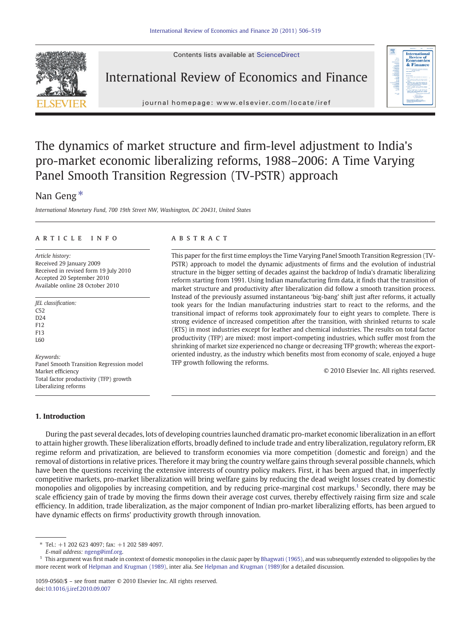Contents lists available at ScienceDirect



### International Review of Economics and Finance



journal homepage: www.elsevier.com/locate/iref j o u r n a l  $\sim$ 

## The dynamics of market structure and firm-level adjustment to India's pro-market economic liberalizing reforms, 1988–2006: A Time Varying Panel Smooth Transition Regression (TV-PSTR) approach

### Nan Geng<sup>\*</sup>

International Monetary Fund, 700 19th Street NW, Washington, DC 20431, United States

#### article info abstract

Article history: Received 29 January 2009 Received in revised form 19 July 2010 Accepted 20 September 2010 Available online 28 October 2010

JEL classification:  $C52$  $D24$ F12 F13 L60 Keywords: Panel Smooth Transition Regression model Market efficiency

Total factor productivity (TFP) growth Liberalizing reforms

### 1. Introduction

This paper for the first time employs the Time Varying Panel Smooth Transition Regression (TV-PSTR) approach to model the dynamic adjustments of firms and the evolution of industrial structure in the bigger setting of decades against the backdrop of India's dramatic liberalizing reform starting from 1991. Using Indian manufacturing firm data, it finds that the transition of market structure and productivity after liberalization did follow a smooth transition process. Instead of the previously assumed instantaneous 'big-bang' shift just after reforms, it actually took years for the Indian manufacturing industries start to react to the reforms, and the transitional impact of reforms took approximately four to eight years to complete. There is strong evidence of increased competition after the transition, with shrinked returns to scale (RTS) in most industries except for leather and chemical industries. The results on total factor productivity (TFP) are mixed: most import-competing industries, which suffer most from the shrinking of market size experienced no change or decreasing TFP growth; whereas the exportoriented industry, as the industry which benefits most from economy of scale, enjoyed a huge TFP growth following the reforms.

© 2010 Elsevier Inc. All rights reserved.

During the past several decades, lots of developing countries launched dramatic pro-market economic liberalization in an effort to attain higher growth. These liberalization efforts, broadly defined to include trade and entry liberalization, regulatory reform, ER regime reform and privatization, are believed to transform economies via more competition (domestic and foreign) and the removal of distortions in relative prices. Therefore it may bring the country welfare gains through several possible channels, which have been the questions receiving the extensive interests of country policy makers. First, it has been argued that, in imperfectly competitive markets, pro-market liberalization will bring welfare gains by reducing the dead weight losses created by domestic monopolies and oligopolies by increasing competition, and by reducing price-marginal cost markups.<sup>1</sup> Secondly, there may be scale efficiency gain of trade by moving the firms down their average cost curves, thereby effectively raising firm size and scale efficiency. In addition, trade liberalization, as the major component of Indian pro-market liberalizing efforts, has been argued to have dynamic effects on firms' productivity growth through innovation.

<sup>⁎</sup> Tel.: +1 202 623 4097; fax: +1 202 589 4097.

E-mail address: [ngeng@imf.org](mailto:ngeng@imf.org).

 $^1$  This argument was first made in context of domestic monopolies in the classic paper by [Bhagwati \(1965\),](#page--1-0) and was subsequently extended to oligopolies by the more recent work of [Helpman and Krugman \(1989\),](#page--1-0) inter alia. See [Helpman and Krugman \(1989\)](#page--1-0)for a detailed discussion.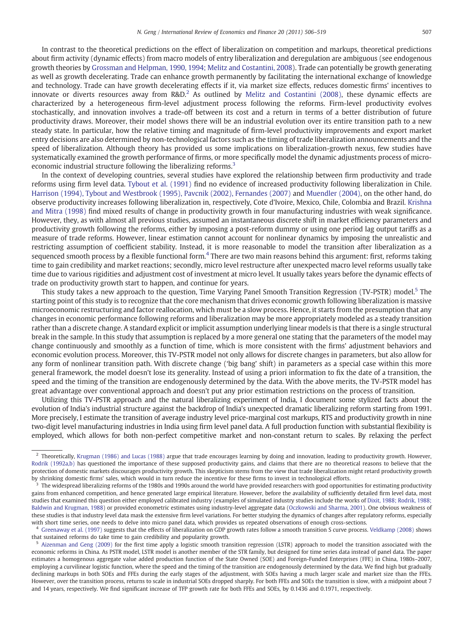In contrast to the theoretical predictions on the effect of liberalization on competition and markups, theoretical predictions about firm activity (dynamic effects) from macro models of entry liberalization and deregulation are ambiguous (see endogenous growth theories by [Grossman and Helpman, 1990, 1994; Melitz and Costantini, 2008\)](#page--1-0). Trade can potentially be growth generating as well as growth decelerating. Trade can enhance growth permanently by facilitating the international exchange of knowledge and technology. Trade can have growth decelerating effects if it, via market size effects, reduces domestic firms' incentives to innovate or diverts resources away from  $R&D^2$  As outlined by [Melitz and Costantini \(2008\),](#page--1-0) these dynamic effects are characterized by a heterogeneous firm-level adjustment process following the reforms. Firm-level productivity evolves stochastically, and innovation involves a trade-off between its cost and a return in terms of a better distribution of future productivity draws. Moreover, their model shows there will be an industrial evolution over its entire transition path to a new steady state. In particular, how the relative timing and magnitude of firm-level productivity improvements and export market entry decisions are also determined by non-technological factors such as the timing of trade liberalization announcements and the speed of liberalization. Although theory has provided us some implications on liberalization-growth nexus, few studies have systematically examined the growth performance of firms, or more specifically model the dynamic adjustments process of microeconomic industrial structure following the liberalizing reforms.<sup>3</sup>

In the context of developing countries, several studies have explored the relationship between firm productivity and trade reforms using firm level data. [Tybout et al. \(1991\)](#page--1-0) find no evidence of increased productivity following liberalization in Chile. [Harrison \(1994\), Tybout and Westbrook \(1995\), Pavcnik \(2002\), Fernandes \(2007\)](#page--1-0) and [Muendler \(2004\)](#page--1-0), on the other hand, do observe productivity increases following liberalization in, respectively, Cote d'Ivoire, Mexico, Chile, Colombia and Brazil. [Krishna](#page--1-0) [and Mitra \(1998\)](#page--1-0) find mixed results of change in productivity growth in four manufacturing industries with weak significance. However, they, as with almost all previous studies, assumed an instantaneous discrete shift in market efficiency parameters and productivity growth following the reforms, either by imposing a post-reform dummy or using one period lag output tariffs as a measure of trade reforms. However, linear estimation cannot account for nonlinear dynamics by imposing the unrealistic and restricting assumption of coefficient stability. Instead, it is more reasonable to model the transition after liberalization as a sequenced smooth process by a flexible functional form.<sup>4</sup> There are two main reasons behind this argument: first, reforms taking time to gain credibility and market reactions; secondly, micro level restructure after unexpected macro level reforms usually take time due to various rigidities and adjustment cost of investment at micro level. It usually takes years before the dynamic effects of trade on productivity growth start to happen, and continue for years.

This study takes a new approach to the question, Time Varying Panel Smooth Transition Regression (TV-PSTR) model.<sup>5</sup> The starting point of this study is to recognize that the core mechanism that drives economic growth following liberalization is massive microeconomic restructuring and factor reallocation, which must be a slow process. Hence, it starts from the presumption that any changes in economic performance following reforms and liberalization may be more appropriately modeled as a steady transition rather than a discrete change. A standard explicit or implicit assumption underlying linear models is that there is a single structural break in the sample. In this study that assumption is replaced by a more general one stating that the parameters of the model may change continuously and smoothly as a function of time, which is more consistent with the firms' adjustment behaviors and economic evolution process. Moreover, this TV-PSTR model not only allows for discrete changes in parameters, but also allow for any form of nonlinear transition path. With discrete change ('big bang' shift) in parameters as a special case within this more general framework, the model doesn't lose its generality. Instead of using a priori information to fix the date of a transition, the speed and the timing of the transition are endogenously determined by the data. With the above merits, the TV-PSTR model has great advantage over conventional approach and doesn't put any prior estimation restrictions on the process of transition.

Utilizing this TV-PSTR approach and the natural liberalizing experiment of India, I document some stylized facts about the evolution of India's industrial structure against the backdrop of India's unexpected dramatic liberalizing reform starting from 1991. More precisely, I estimate the transition of average industry level price-marginal cost markups, RTS and productivity growth in nine two-digit level manufacturing industries in India using firm level panel data. A full production function with substantial flexibility is employed, which allows for both non-perfect competitive market and non-constant return to scales. By relaxing the perfect

<sup>&</sup>lt;sup>2</sup> Theoretically, [Krugman \(1986\) and Lucas \(1988\)](#page--1-0) argue that trade encourages learning by doing and innovation, leading to productivity growth. However, [Rodrik \(1992a,b\)](#page--1-0) has questioned the importance of these supposed productivity gains, and claims that there are no theoretical reasons to believe that the protection of domestic markets discourages productivity growth. This skepticism stems from the view that trade liberalization might retard productivity growth by shrinking domestic firms' sales, which would in turn reduce the incentive for these firms to invest in technological efforts.

<sup>3</sup> The widespread liberalizing reforms of the 1980s and 1990s around the world have provided researchers with good opportunities for estimating productivity gains from enhanced competition, and hence generated large empirical literature. However, before the availability of sufficiently detailed firm level data, most studies that examined this question either employed calibrated industry (examples of simulated industry studies include the works of [Dixit, 1988; Rodrik, 1988;](#page--1-0) [Baldwin and Krugman, 1988](#page--1-0)) or provided econometric estimates using industry-level aggregate data ([Oczkowski and Sharma, 2001\)](#page--1-0). One obvious weakness of these studies is that industry level data mask the extensive firm level variations. For better studying the dynamics of changes after regulatory reforms, especially with short time series, one needs to delve into micro panel data, which provides us repeated observations of enough cross-sections.

<sup>4</sup> [Greenaway et al. \(1997\)](#page--1-0) suggests that the effects of liberalization on GDP growth rates follow a smooth transition S curve process. [Veldkamp \(2008\)](#page--1-0) shows that sustained reforms do take time to gain credibility and popularity growth.

<sup>&</sup>lt;sup>5</sup> [Aizenman and Geng \(2009\)](#page--1-0) for the first time apply a logistic smooth transition regression (LSTR) approach to model the transition associated with the economic reforms in China. As PSTR model, LSTR model is another member of the STR family, but designed for time series data instead of panel data. The paper estimates a homogenous aggregate value added production function of the State Owned (SOE) and Foreign-Funded Enterprises (FFE) in China, 1980s–2007, employing a curvilinear logistic function, where the speed and the timing of the transition are endogenously determined by the data. We find high but gradually declining markups in both SOEs and FFEs during the early stages of the adjustment, with SOEs having a much larger scale and market size than the FFEs. However, over the transition process, returns to scale in industrial SOEs dropped sharply. For both FFEs and SOEs the transition is slow, with a midpoint about 7 and 14 years, respectively. We find significant increase of TFP growth rate for both FFEs and SOEs, by 0.1436 and 0.1971, respectively.